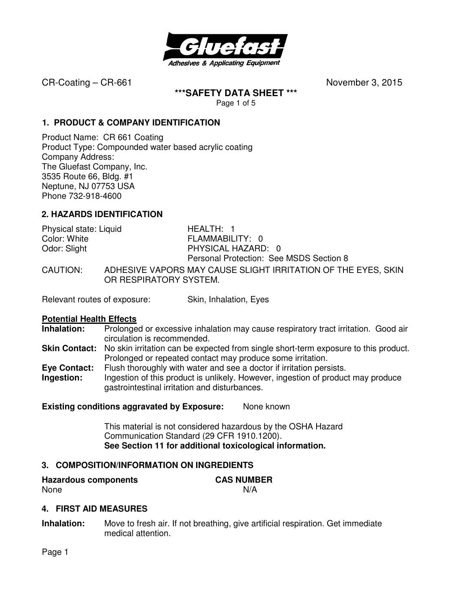

**\*\*\*SAFETY DATA SHEET \*\*\*** 

Page 1 of 5

### **1. PRODUCT & COMPANY IDENTIFICATION**

Product Name: CR 661 Coating Product Type: Compounded water based acrylic coating Company Address: The Gluefast Company, Inc. 3535 Route 66, Bldg. #1 Neptune, NJ 07753 USA Phone 732-918-4600

## **2. HAZARDS IDENTIFICATION**

| Physical state: Liquid | HEALTH: 1                                                                               |
|------------------------|-----------------------------------------------------------------------------------------|
| Color: White           | FLAMMABILITY: 0                                                                         |
| Odor: Slight           | PHYSICAL HAZARD: 0                                                                      |
|                        | Personal Protection: See MSDS Section 8                                                 |
| CAUTION:               | ADHESIVE VAPORS MAY CAUSE SLIGHT IRRITATION OF THE EYES, SKIN<br>OR RESPIRATORY SYSTEM. |

Relevant routes of exposure: Skin, Inhalation, Eyes

#### **Potential Health Effects**

- **Inhalation:** Prolonged or excessive inhalation may cause respiratory tract irritation. Good air circulation is recommended.
- **Skin Contact:** No skin irritation can be expected from single short-term exposure to this product. Prolonged or repeated contact may produce some irritation.
- **Eye Contact:** Flush thoroughly with water and see a doctor if irritation persists.
- **Ingestion:** Ingestion of this product is unlikely. However, ingestion of product may produce gastrointestinal irritation and disturbances.

#### **Existing conditions aggravated by Exposure:** None known

This material is not considered hazardous by the OSHA Hazard Communication Standard (29 CFR 1910.1200). **See Section 11 for additional toxicological information.** 

## **3. COMPOSITION/INFORMATION ON INGREDIENTS**

| <b>Hazardous components</b> | <b>CAS NUMBER</b> |
|-----------------------------|-------------------|
| None                        | N/A               |

## **4. FIRST AID MEASURES**

**Inhalation:** Move to fresh air. If not breathing, give artificial respiration. Get immediate medical attention.

Page 1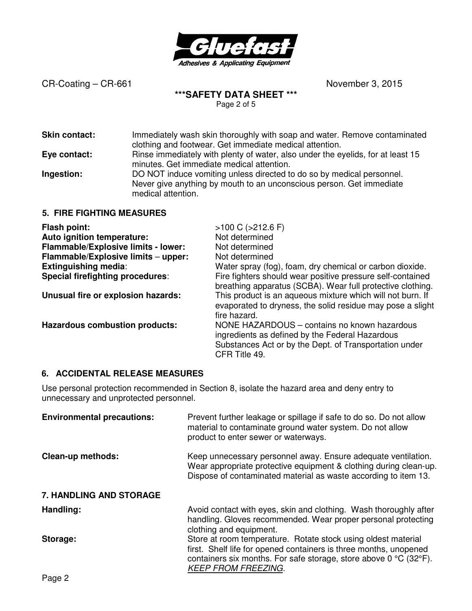

## **\*\*\*SAFETY DATA SHEET \*\*\***

Page 2 of 5

| Skin contact:                    | Immediately wash skin thoroughly with soap and water. Remove contaminated<br>clothing and footwear. Get immediate medical attention.                                |
|----------------------------------|---------------------------------------------------------------------------------------------------------------------------------------------------------------------|
| Eye contact:                     | Rinse immediately with plenty of water, also under the eyelids, for at least 15<br>minutes. Get immediate medical attention.                                        |
| Ingestion:                       | DO NOT induce vomiting unless directed to do so by medical personnel.<br>Never give anything by mouth to an unconscious person. Get immediate<br>medical attention. |
| <b>5. FIRE FIGHTING MEASURES</b> |                                                                                                                                                                     |

| <b>Flash point:</b>                   | $>100$ C ( $>212.6$ F)                                                                                                                                                     |
|---------------------------------------|----------------------------------------------------------------------------------------------------------------------------------------------------------------------------|
| Auto ignition temperature:            | Not determined                                                                                                                                                             |
| Flammable/Explosive limits - lower:   | Not determined                                                                                                                                                             |
| Flammable/Explosive limits - upper:   | Not determined                                                                                                                                                             |
| <b>Extinguishing media:</b>           | Water spray (fog), foam, dry chemical or carbon dioxide.                                                                                                                   |
| Special firefighting procedures:      | Fire fighters should wear positive pressure self-contained<br>breathing apparatus (SCBA). Wear full protective clothing.                                                   |
| Unusual fire or explosion hazards:    | This product is an aqueous mixture which will not burn. If<br>evaporated to dryness, the solid residue may pose a slight<br>fire hazard.                                   |
| <b>Hazardous combustion products:</b> | NONE HAZARDOUS – contains no known hazardous<br>ingredients as defined by the Federal Hazardous<br>Substances Act or by the Dept. of Transportation under<br>CFR Title 49. |

## **6. ACCIDENTAL RELEASE MEASURES**

Use personal protection recommended in Section 8, isolate the hazard area and deny entry to unnecessary and unprotected personnel.

| <b>Environmental precautions:</b> | Prevent further leakage or spillage if safe to do so. Do not allow<br>material to contaminate ground water system. Do not allow<br>product to enter sewer or waterways.                                                               |
|-----------------------------------|---------------------------------------------------------------------------------------------------------------------------------------------------------------------------------------------------------------------------------------|
| <b>Clean-up methods:</b>          | Keep unnecessary personnel away. Ensure adequate ventilation.<br>Wear appropriate protective equipment & clothing during clean-up.<br>Dispose of contaminated material as waste according to item 13.                                 |
| <b>7. HANDLING AND STORAGE</b>    |                                                                                                                                                                                                                                       |
| Handling:                         | Avoid contact with eyes, skin and clothing. Wash thoroughly after<br>handling. Gloves recommended. Wear proper personal protecting<br>clothing and equipment.                                                                         |
| Storage:                          | Store at room temperature. Rotate stock using oldest material<br>first. Shelf life for opened containers is three months, unopened<br>containers six months. For safe storage, store above 0 °C (32°F).<br><b>KEEP FROM FREEZING.</b> |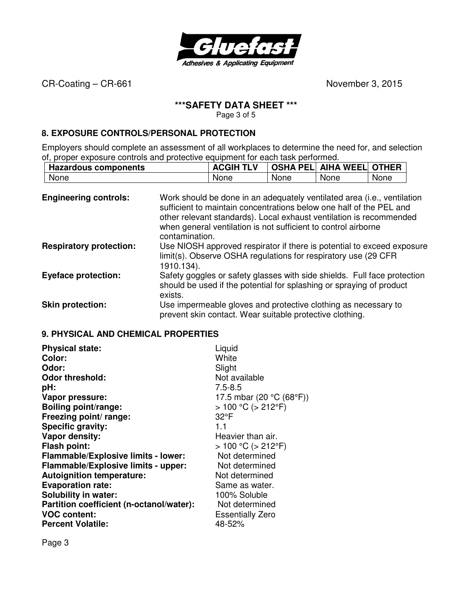

### **\*\*\*SAFETY DATA SHEET \*\*\***

Page 3 of 5

#### **8. EXPOSURE CONTROLS/PERSONAL PROTECTION**

Employers should complete an assessment of all workplaces to determine the need for, and selection of, proper exposure controls and protective equipment for each task performed.

|      | <b>Hazardous components</b> |      | <b>ACGIH TLV</b> |      | <b>OSHA PEL AIHA WEEL OTHER</b> |      |
|------|-----------------------------|------|------------------|------|---------------------------------|------|
| None |                             | None |                  | None | None                            | None |

| <b>Engineering controls:</b>   | Work should be done in an adequately ventilated area (i.e., ventilation<br>sufficient to maintain concentrations below one half of the PEL and<br>other relevant standards). Local exhaust ventilation is recommended<br>when general ventilation is not sufficient to control airborne<br>contamination. |
|--------------------------------|-----------------------------------------------------------------------------------------------------------------------------------------------------------------------------------------------------------------------------------------------------------------------------------------------------------|
| <b>Respiratory protection:</b> | Use NIOSH approved respirator if there is potential to exceed exposure<br>limit(s). Observe OSHA regulations for respiratory use (29 CFR<br>1910.134).                                                                                                                                                    |
| <b>Eyeface protection:</b>     | Safety goggles or safety glasses with side shields. Full face protection<br>should be used if the potential for splashing or spraying of product<br>exists.                                                                                                                                               |
| <b>Skin protection:</b>        | Use impermeable gloves and protective clothing as necessary to<br>prevent skin contact. Wear suitable protective clothing.                                                                                                                                                                                |

#### **9. PHYSICAL AND CHEMICAL PROPERTIES**

| <b>Physical state:</b>                   | Liquid                    |
|------------------------------------------|---------------------------|
| Color:                                   | White                     |
| Odor:                                    | Slight                    |
| <b>Odor threshold:</b>                   | Not available             |
| pH:                                      | $7.5 - 8.5$               |
| Vapor pressure:                          | 17.5 mbar (20 °C (68°F))  |
| <b>Boiling point/range:</b>              | $> 100 °C$ ( $> 212 °F$ ) |
| Freezing point/ range:                   | $32^{\circ}F$             |
| Specific gravity:                        | 1.1                       |
| Vapor density:                           | Heavier than air.         |
| <b>Flash point:</b>                      | $> 100 °C$ ( $> 212 °F$ ) |
| Flammable/Explosive limits - lower:      | Not determined            |
| Flammable/Explosive limits - upper:      | Not determined            |
| <b>Autoignition temperature:</b>         | Not determined            |
| <b>Evaporation rate:</b>                 | Same as water.            |
| <b>Solubility in water:</b>              | 100% Soluble              |
| Partition coefficient (n-octanol/water): | Not determined            |
| <b>VOC content:</b>                      | <b>Essentially Zero</b>   |
| <b>Percent Volatile:</b>                 | 48-52%                    |

Page 3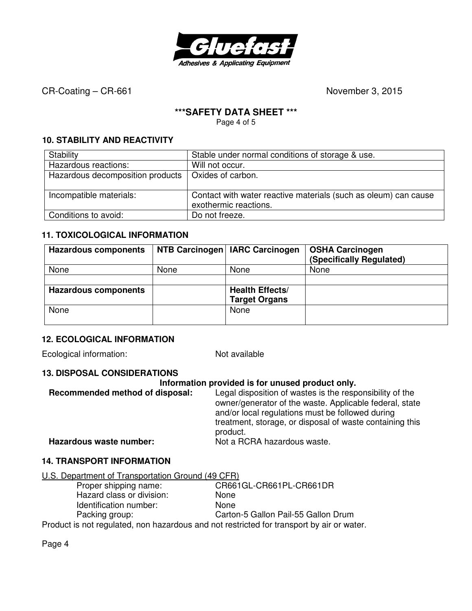

### **\*\*\*SAFETY DATA SHEET \*\*\***

Page 4 of 5

## **10. STABILITY AND REACTIVITY**

| Stability                        | Stable under normal conditions of storage & use.                                         |
|----------------------------------|------------------------------------------------------------------------------------------|
| Hazardous reactions:             | Will not occur.                                                                          |
| Hazardous decomposition products | Oxides of carbon.                                                                        |
|                                  |                                                                                          |
| Incompatible materials:          | Contact with water reactive materials (such as oleum) can cause<br>exothermic reactions. |
| Conditions to avoid:             | Do not freeze.                                                                           |

## **11. TOXICOLOGICAL INFORMATION**

| <b>Hazardous components</b> |      | NTB Carcinogen   IARC Carcinogen | <b>OSHA Carcinogen</b><br>(Specifically Regulated) |
|-----------------------------|------|----------------------------------|----------------------------------------------------|
| None                        | None | None                             | None                                               |
|                             |      |                                  |                                                    |
| <b>Hazardous components</b> |      | <b>Health Effects/</b>           |                                                    |
|                             |      | <b>Target Organs</b>             |                                                    |
| None                        |      | None                             |                                                    |
|                             |      |                                  |                                                    |

## **12. ECOLOGICAL INFORMATION**

Ecological information: Not available

#### **13. DISPOSAL CONSIDERATIONS**

#### **Information provided is for unused product only.**

| Recommended method of disposal: | Legal disposition of wastes is the responsibility of the<br>owner/generator of the waste. Applicable federal, state<br>and/or local regulations must be followed during |
|---------------------------------|-------------------------------------------------------------------------------------------------------------------------------------------------------------------------|
|                                 | treatment, storage, or disposal of waste containing this<br>product.                                                                                                    |
| Hazardous waste number:         | Not a RCRA hazardous waste.                                                                                                                                             |

#### **14. TRANSPORT INFORMATION**

| U.S. Department of Transportation Ground (49 CFR) |
|---------------------------------------------------|
|---------------------------------------------------|

| Proper shipping name:     | CR661GL-CR661PL-CR661DR                                                                   |
|---------------------------|-------------------------------------------------------------------------------------------|
| Hazard class or division: | None                                                                                      |
| Identification number:    | <b>None</b>                                                                               |
| Packing group:            | Carton-5 Gallon Pail-55 Gallon Drum                                                       |
|                           | Drodust is not requisited, non becarde us and not restricted for trapponert by sir er wet |

Product is not regulated, non hazardous and not restricted for transport by air or water.

Page 4